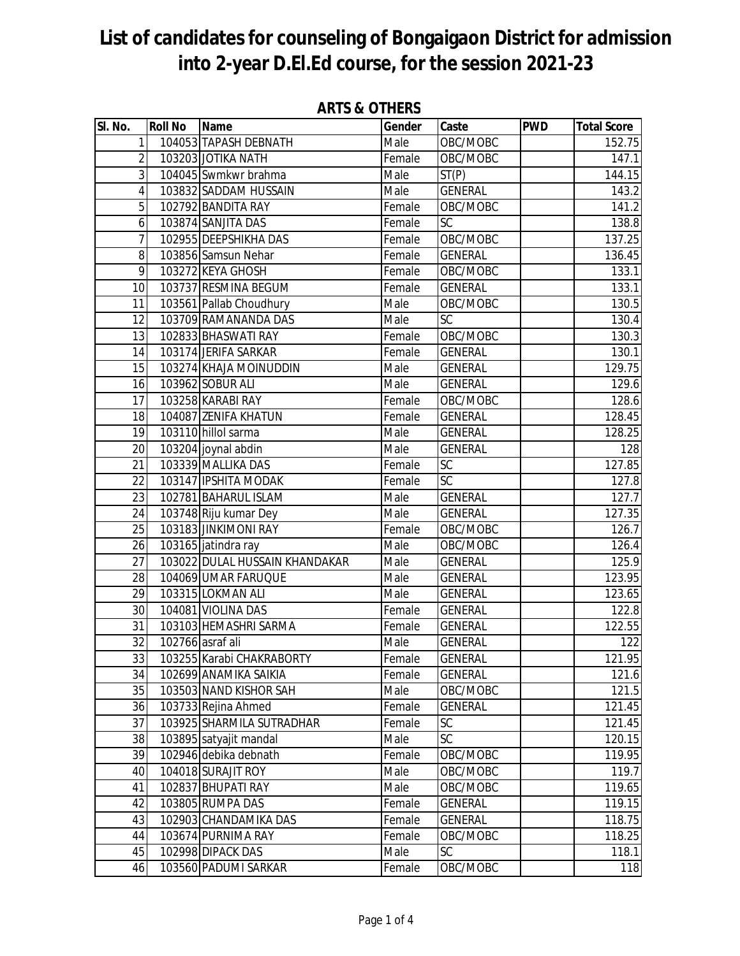| SI. No.         | <b>Roll No</b> | <b>Name</b>                    | Gender | Caste           | <b>PWD</b> | <b>Total Score</b> |
|-----------------|----------------|--------------------------------|--------|-----------------|------------|--------------------|
| 1               |                | 104053 TAPASH DEBNATH          | Male   | OBC/MOBC        |            | 152.75             |
| $\overline{2}$  |                | 103203 JOTIKA NATH             | Female | OBC/MOBC        |            | 147.1              |
| 3               |                | 104045 Swmkwr brahma           | Male   | ST(P)           |            | 144.15             |
| $\overline{4}$  |                | 103832 SADDAM HUSSAIN          | Male   | <b>GENERAL</b>  |            | 143.2              |
| 5               |                | 102792 BANDITA RAY             | Female | OBC/MOBC        |            | 141.2              |
| 6               |                | 103874 SANJITA DAS             | Female | SC              |            | 138.8              |
| 7               |                | 102955 DEEPSHIKHA DAS          | Female | OBC/MOBC        |            | 137.25             |
| 8               |                | 103856 Samsun Nehar            | Female | <b>GENERAL</b>  |            | 136.45             |
| 9               |                | 103272 KEYA GHOSH              | Female | OBC/MOBC        |            | 133.1              |
| 10              |                | 103737 RESMINA BEGUM           | Female | <b>GENERAL</b>  |            | 133.1              |
| 11              |                | 103561 Pallab Choudhury        | Male   | OBC/MOBC        |            | 130.5              |
| $\overline{12}$ |                | 103709 RAMANANDA DAS           | Male   | $\overline{SC}$ |            | 130.4              |
| 13              |                | 102833 BHASWATI RAY            | Female | OBC/MOBC        |            | 130.3              |
| 14              |                | 103174 JERIFA SARKAR           | Female | <b>GENERAL</b>  |            | 130.1              |
| 15              |                | 103274 KHAJA MOINUDDIN         | Male   | <b>GENERAL</b>  |            | 129.75             |
| 16              |                | 103962 SOBUR ALI               | Male   | <b>GENERAL</b>  |            | 129.6              |
| 17              |                | 103258 KARABI RAY              | Female | OBC/MOBC        |            | 128.6              |
| 18              |                | 104087 ZENIFA KHATUN           | Female | <b>GENERAL</b>  |            | 128.45             |
| 19              |                | 103110 hillol sarma            | Male   | <b>GENERAL</b>  |            | 128.25             |
| 20              |                | 103204 joynal abdin            | Male   | <b>GENERAL</b>  |            | 128                |
| $\overline{21}$ |                | 103339 MALLIKA DAS             | Female | SC              |            | 127.85             |
| 22              |                | 103147 IPSHITA MODAK           | Female | $\overline{SC}$ |            | 127.8              |
| 23              |                | 102781 BAHARUL ISLAM           | Male   | <b>GENERAL</b>  |            | 127.7              |
| 24              |                | 103748 Riju kumar Dey          | Male   | <b>GENERAL</b>  |            | 127.35             |
| 25              |                | 103183 JINKIMONI RAY           | Female | OBC/MOBC        |            | 126.7              |
| $\overline{26}$ |                | 103165 jatindra ray            | Male   | OBC/MOBC        |            | 126.4              |
| 27              |                | 103022 DULAL HUSSAIN KHANDAKAR | Male   | <b>GENERAL</b>  |            | 125.9              |
| 28              |                | 104069 UMAR FARUQUE            | Male   | <b>GENERAL</b>  |            | 123.95             |
| 29              |                | 103315 LOKMAN ALI              | Male   | <b>GENERAL</b>  |            | 123.65             |
| $\overline{30}$ |                | 104081 VIOLINA DAS             | Female | <b>GENERAL</b>  |            | 122.8              |
| 31              |                | 103103 HEMASHRI SARMA          | Female | <b>GENERAL</b>  |            | 122.55             |
| $\overline{32}$ |                | 102766 asraf ali               | Male   | <b>GENERAL</b>  |            | 122                |
| 33              |                | 103255 Karabi CHAKRABORTY      | Female | <b>GENERAL</b>  |            | 121.95             |
| 34              |                | 102699 ANAMIKA SAIKIA          | Female | <b>GENERAL</b>  |            | 121.6              |
| 35              |                | 103503 NAND KISHOR SAH         | Male   | OBC/MOBC        |            | 121.5              |
| 36              |                | 103733 Rejina Ahmed            | Female | <b>GENERAL</b>  |            | 121.45             |
| 37              |                | 103925 SHARMILA SUTRADHAR      | Female | SC              |            | 121.45             |
| 38              |                | 103895 satyajit mandal         | Male   | SC              |            | 120.15             |
| 39              |                | 102946 debika debnath          | Female | OBC/MOBC        |            | 119.95             |
| 40              |                | 104018 SURAJIT ROY             | Male   | OBC/MOBC        |            | 119.7              |
| 41              |                | 102837 BHUPATI RAY             | Male   | OBC/MOBC        |            | 119.65             |
| 42              |                | 103805 RUMPA DAS               | Female | <b>GENERAL</b>  |            | 119.15             |
| 43              |                | 102903 CHANDAMIKA DAS          | Female | <b>GENERAL</b>  |            | 118.75             |
| 44              |                | 103674 PURNIMA RAY             | Female | OBC/MOBC        |            | 118.25             |
| 45              |                | 102998 DIPACK DAS              | Male   | <b>SC</b>       |            | 118.1              |
| 46              |                | 103560 PADUMI SARKAR           | Female | OBC/MOBC        |            | 118                |

### **ARTS & OTHERS**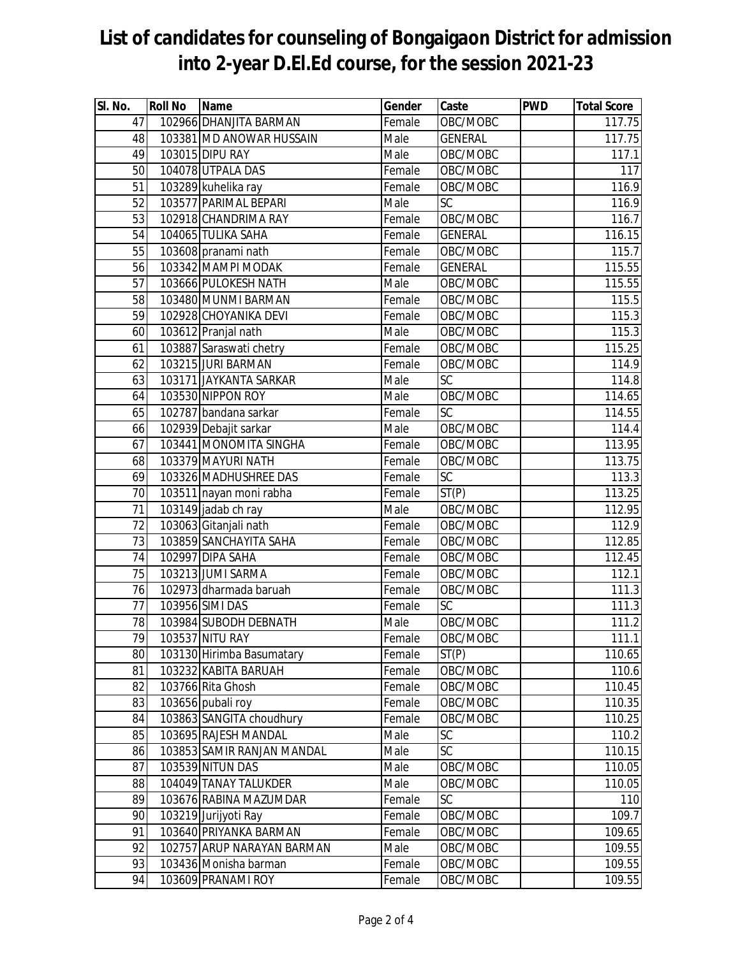| SI. No.         | <b>Roll No</b> | Name                       | Gender | Caste              | <b>PWD</b> | <b>Total Score</b> |
|-----------------|----------------|----------------------------|--------|--------------------|------------|--------------------|
| 47              |                | 102966 DHANJITA BARMAN     | Female | OBC/MOBC           |            | 117.75             |
| 48              |                | 103381 MD ANOWAR HUSSAIN   | Male   | <b>GENERAL</b>     |            | 117.75             |
| 49              |                | 103015 DIPU RAY            | Male   | OBC/MOBC           |            | 117.1              |
| 50              |                | 104078 UTPALA DAS          | Female | OBC/MOBC           |            | 117                |
| 51              |                | 103289 kuhelika ray        | Female | OBC/MOBC           |            | 116.9              |
| 52              |                | 103577 PARIMAL BEPARI      | Male   | $\overline{SC}$    |            | 116.9              |
| 53              |                | 102918 CHANDRIMA RAY       | Female | OBC/MOBC           |            | 116.7              |
| 54              |                | 104065 TULIKA SAHA         | Female | <b>GENERAL</b>     |            | 116.15             |
| 55              |                | 103608 pranami nath        | Female | OBC/MOBC           |            | 115.7              |
| 56              |                | 103342 MAMPI MODAK         | Female | <b>GENERAL</b>     |            | 115.55             |
| 57              |                | 103666 PULOKESH NATH       | Male   | OBC/MOBC           |            | 115.55             |
| 58              |                | 103480 MUNMI BARMAN        | Female | OBC/MOBC           |            | 115.5              |
| $\overline{59}$ |                | 102928 CHOYANIKA DEVI      | Female | OBC/MOBC           |            | 115.3              |
| 60              |                | 103612 Pranjal nath        | Male   | OBC/MOBC           |            | 115.3              |
| 61              |                | 103887 Saraswati chetry    | Female | OBC/MOBC           |            | 115.25             |
| 62              |                | 103215 JURI BARMAN         | Female | OBC/MOBC           |            | 114.9              |
| 63              |                | 103171 JAYKANTA SARKAR     | Male   | SC                 |            | 114.8              |
| 64              |                | 103530 NIPPON ROY          | Male   | OBC/MOBC           |            | 114.65             |
| 65              |                | 102787 bandana sarkar      | Female | $\overline{SC}$    |            | 114.55             |
| 66              |                | 102939 Debajit sarkar      | Male   | OBC/MOBC           |            | 114.4              |
| 67              |                | 103441 MONOMITA SINGHA     | Female | OBC/MOBC           |            | 113.95             |
| 68              |                | 103379 MAYURI NATH         | Female | OBC/MOBC           |            | 113.75             |
| 69              |                | 103326 MADHUSHREE DAS      | Female | SC                 |            | 113.3              |
| 70              |                | 103511 nayan moni rabha    | Female | $\overline{ST}(P)$ |            | 113.25             |
| 71              |                | 103149 jadab ch ray        | Male   | OBC/MOBC           |            | 112.95             |
| 72              |                | 103063 Gitanjali nath      | Female | OBC/MOBC           |            | 112.9              |
| 73              |                | 103859 SANCHAYITA SAHA     | Female | OBC/MOBC           |            | 112.85             |
| 74              |                | 102997 DIPA SAHA           | Female | OBC/MOBC           |            | 112.45             |
| 75              |                | 103213 JUMI SARMA          | Female | OBC/MOBC           |            | 112.1              |
| 76              |                | 102973 dharmada baruah     | Female | OBC/MOBC           |            | 111.3              |
| 77              |                | 103956 SIMI DAS            | Female | <b>SC</b>          |            | 111.3              |
| 78              |                | 103984 SUBODH DEBNATH      | Male   | OBC/MOBC           |            | 111.2              |
| 79              |                | <b>103537 NITU RAY</b>     | Female | OBC/MOBC           |            | 111.1              |
| 80              |                | 103130 Hirimba Basumatary  | Female | ST(P)              |            | 110.65             |
| 81              |                | 103232 KABITA BARUAH       | Female | OBC/MOBC           |            | 110.6              |
| 82              |                | 103766 Rita Ghosh          | Female | OBC/MOBC           |            | 110.45             |
| 83              |                | 103656 pubali roy          | Female | OBC/MOBC           |            | 110.35             |
| 84              |                | 103863 SANGITA choudhury   | Female | OBC/MOBC           |            | 110.25             |
| 85              |                | 103695 RAJESH MANDAL       | Male   | SC                 |            | 110.2              |
| 86              |                | 103853 SAMIR RANJAN MANDAL | Male   | $\overline{SC}$    |            | 110.15             |
| 87              |                | 103539 NITUN DAS           | Male   | OBC/MOBC           |            | 110.05             |
| 88              |                | 104049 TANAY TALUKDER      | Male   | OBC/MOBC           |            | 110.05             |
| 89              |                | 103676 RABINA MAZUMDAR     | Female | SC                 |            | 110                |
| 90              |                | 103219 Jurijyoti Ray       | Female | OBC/MOBC           |            | 109.7              |
| 91              |                | 103640 PRIYANKA BARMAN     | Female | OBC/MOBC           |            | 109.65             |
| 92              |                | 102757 ARUP NARAYAN BARMAN | Male   | OBC/MOBC           |            | 109.55             |
| 93              |                | 103436 Monisha barman      | Female | OBC/MOBC           |            | 109.55             |
| 94              |                | 103609 PRANAMI ROY         | Female | OBC/MOBC           |            | 109.55             |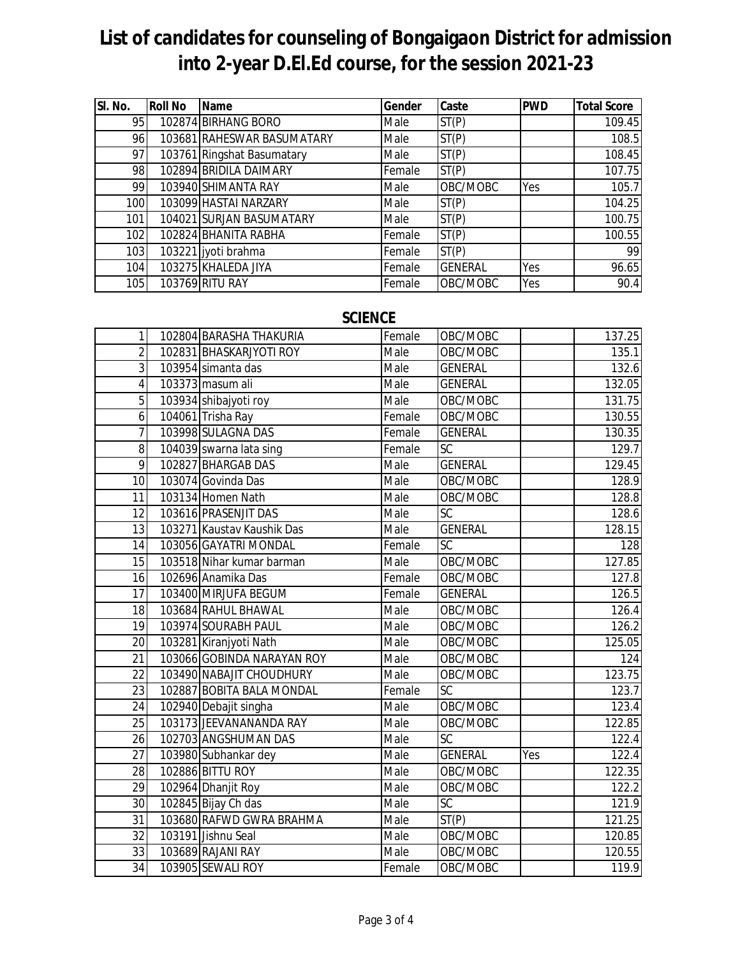| SI. No. | <b>Roll No</b> | Name                       | Gender | Caste          | <b>PWD</b> | <b>Total Score</b> |
|---------|----------------|----------------------------|--------|----------------|------------|--------------------|
| 95      |                | 102874 BIRHANG BORO        | Male   | ST(P)          |            | 109.45             |
| 96      |                | 103681 RAHESWAR BASUMATARY | Male   | ST(P)          |            | 108.5              |
| 97      |                | 103761 Ringshat Basumatary | Male   | ST(P)          |            | 108.45             |
| 98      |                | 102894 BRIDILA DAIMARY     | Female | ST(P)          |            | 107.75             |
| 99      |                | 103940 SHIMANTA RAY        | Male   | OBC/MOBC       | Yes        | 105.7              |
| 100     |                | 103099 HASTAI NARZARY      | Male   | ST(P)          |            | 104.25             |
| 101     |                | 104021 SURJAN BASUMATARY   | Male   | ST(P)          |            | 100.75             |
| 102     |                | 102824 BHANITA RABHA       | Female | ST(P)          |            | 100.55             |
| 103     |                | 103221 jyoti brahma        | Female | ST(P)          |            | 99                 |
| 104     |                | 103275 KHALEDA JIYA        | Female | <b>GENERAL</b> | Yes        | 96.65              |
| 105     |                | 103769 RITU RAY            | Female | OBC/MOBC       | Yes        | 90.4               |

### **SCIENCE**

| $\mathbf{1}$    | 102804 BARASHA THAKURIA    | Female | OBC/MOBC        |     | 137.25 |
|-----------------|----------------------------|--------|-----------------|-----|--------|
| $\overline{2}$  | 102831 BHASKARJYOTI ROY    | Male   | OBC/MOBC        |     | 135.1  |
| 3               | 103954 simanta das         | Male   | <b>GENERAL</b>  |     | 132.6  |
| 4               | 103373 masum ali           | Male   | <b>GENERAL</b>  |     | 132.05 |
| $\overline{5}$  | 103934 shibajyoti roy      | Male   | OBC/MOBC        |     | 131.75 |
| 6               | 104061 Trisha Ray          | Female | OBC/MOBC        |     | 130.55 |
| $\overline{7}$  | 103998 SULAGNA DAS         | Female | <b>GENERAL</b>  |     | 130.35 |
| 8               | 104039 swarna lata sing    | Female | <b>SC</b>       |     | 129.7  |
| 9               | 102827 BHARGAB DAS         | Male   | <b>GENERAL</b>  |     | 129.45 |
| 10              | 103074 Govinda Das         | Male   | OBC/MOBC        |     | 128.9  |
| 11              | 103134 Homen Nath          | Male   | OBC/MOBC        |     | 128.8  |
| 12              | 103616 PRASENJIT DAS       | Male   | SC              |     | 128.6  |
| 13              | 103271 Kaustav Kaushik Das | Male   | <b>GENERAL</b>  |     | 128.15 |
| 14              | 103056 GAYATRI MONDAL      | Female | $\overline{SC}$ |     | 128    |
| 15              | 103518 Nihar kumar barman  | Male   | OBC/MOBC        |     | 127.85 |
| 16              | 102696 Anamika Das         | Female | OBC/MOBC        |     | 127.8  |
| 17              | 103400 MIRJUFA BEGUM       | Female | <b>GENERAL</b>  |     | 126.5  |
| 18              | 103684 RAHUL BHAWAL        | Male   | OBC/MOBC        |     | 126.4  |
| 19              | 103974 SOURABH PAUL        | Male   | OBC/MOBC        |     | 126.2  |
| 20              | 103281 Kiranjyoti Nath     | Male   | OBC/MOBC        |     | 125.05 |
| $\overline{21}$ | 103066 GOBINDA NARAYAN ROY | Male   | OBC/MOBC        |     | 124    |
| 22              | 103490 NABAJIT CHOUDHURY   | Male   | OBC/MOBC        |     | 123.75 |
| 23              | 102887 BOBITA BALA MONDAL  | Female | SC              |     | 123.7  |
| 24              | 102940 Debajit singha      | Male   | OBC/MOBC        |     | 123.4  |
| 25              | 103173 JEEVANANANDA RAY    | Male   | OBC/MOBC        |     | 122.85 |
| $\overline{26}$ | 102703 ANGSHUMAN DAS       | Male   | SC              |     | 122.4  |
| 27              | 103980 Subhankar dey       | Male   | <b>GENERAL</b>  | Yes | 122.4  |
| 28              | 102886 BITTU ROY           | Male   | OBC/MOBC        |     | 122.35 |
| 29              | 102964 Dhanjit Roy         | Male   | OBC/MOBC        |     | 122.2  |
| $\overline{30}$ | 102845 Bijay Ch das        | Male   | $\overline{SC}$ |     | 121.9  |
| 31              | 103680 RAFWD GWRA BRAHMA   | Male   | ST(P)           |     | 121.25 |
| $\overline{32}$ | 103191 Jishnu Seal         | Male   | OBC/MOBC        |     | 120.85 |
| 33              | 103689 RAJANI RAY          | Male   | OBC/MOBC        |     | 120.55 |
| $\overline{34}$ | 103905 SEWALI ROY          | Female | OBC/MOBC        |     | 119.9  |